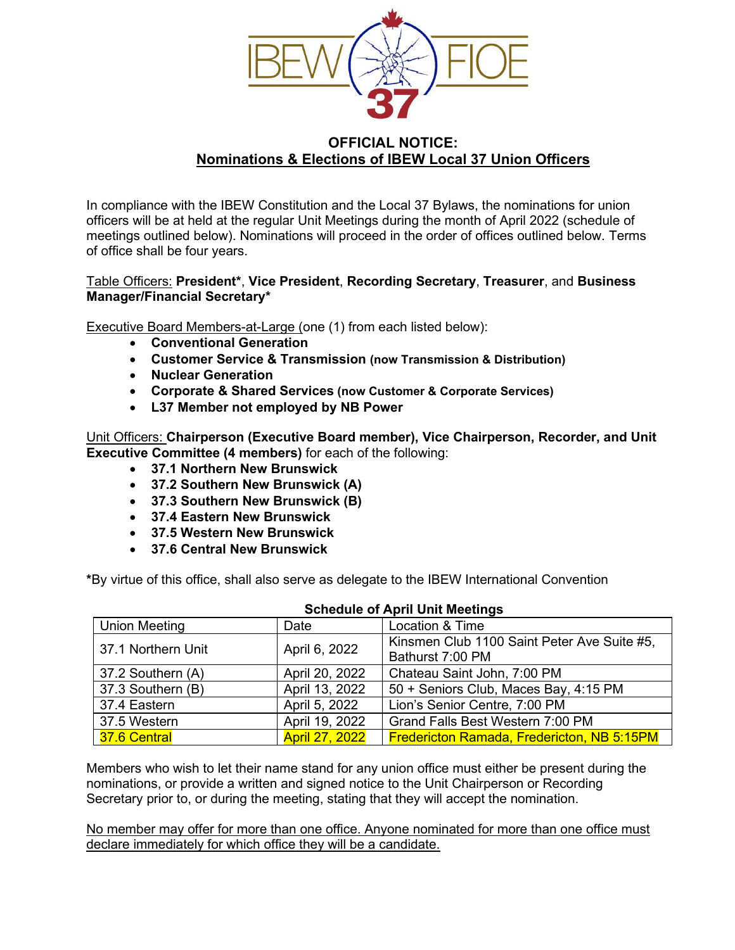

# **OFFICIAL NOTICE: Nominations & Elections of IBEW Local 37 Union Officers**

In compliance with the IBEW Constitution and the Local 37 Bylaws, the nominations for union officers will be at held at the regular Unit Meetings during the month of April 2022 (schedule of meetings outlined below). Nominations will proceed in the order of offices outlined below. Terms of office shall be four years.

## Table Officers: **President\***, **Vice President**, **Recording Secretary**, **Treasurer**, and **Business Manager/Financial Secretary\***

Executive Board Members-at-Large (one (1) from each listed below):

- **Conventional Generation**
- **Customer Service & Transmission (now Transmission & Distribution)**
- **Nuclear Generation**
- **Corporate & Shared Services (now Customer & Corporate Services)**
- **L37 Member not employed by NB Power**

Unit Officers: **Chairperson (Executive Board member), Vice Chairperson, Recorder, and Unit Executive Committee (4 members)** for each of the following:

- **37.1 Northern New Brunswick**
- **37.2 Southern New Brunswick (A)**
- **37.3 Southern New Brunswick (B)**
- **37.4 Eastern New Brunswick**
- **37.5 Western New Brunswick**
- **37.6 Central New Brunswick**

**\***By virtue of this office, shall also serve as delegate to the IBEW International Convention

| <b>SCHEQUIE OF APHIL UNIT MEETHING</b> |                       |                                                   |
|----------------------------------------|-----------------------|---------------------------------------------------|
| <b>Union Meeting</b>                   | Date                  | Location & Time                                   |
| 37.1 Northern Unit                     | April 6, 2022         | Kinsmen Club 1100 Saint Peter Ave Suite #5,       |
|                                        |                       | Bathurst 7:00 PM                                  |
| 37.2 Southern (A)                      | April 20, 2022        | Chateau Saint John, 7:00 PM                       |
| 37.3 Southern (B)                      | April 13, 2022        | 50 + Seniors Club, Maces Bay, 4:15 PM             |
| 37.4 Eastern                           | April 5, 2022         | Lion's Senior Centre, 7:00 PM                     |
| 37.5 Western                           | April 19, 2022        | Grand Falls Best Western 7:00 PM                  |
| 37.6 Central                           | <b>April 27, 2022</b> | <b>Fredericton Ramada, Fredericton, NB 5:15PM</b> |

#### **Schedule of April Unit Meetings**

Members who wish to let their name stand for any union office must either be present during the nominations, or provide a written and signed notice to the Unit Chairperson or Recording Secretary prior to, or during the meeting, stating that they will accept the nomination.

No member may offer for more than one office. Anyone nominated for more than one office must declare immediately for which office they will be a candidate.